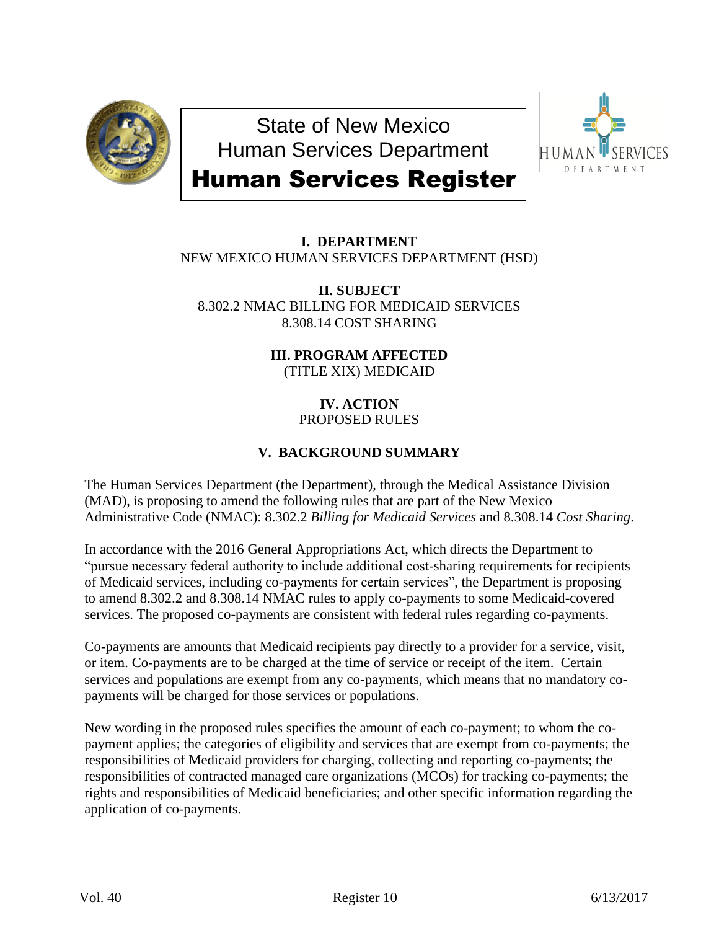

State of New Mexico Human Services Department



# Human Services Register

# **I. DEPARTMENT** NEW MEXICO HUMAN SERVICES DEPARTMENT (HSD)

**II. SUBJECT** 8.302.2 NMAC BILLING FOR MEDICAID SERVICES 8.308.14 COST SHARING

> **III. PROGRAM AFFECTED** (TITLE XIX) MEDICAID

# **IV. ACTION** PROPOSED RULES

# **V. BACKGROUND SUMMARY**

The Human Services Department (the Department), through the Medical Assistance Division (MAD), is proposing to amend the following rules that are part of the New Mexico Administrative Code (NMAC): 8.302.2 *Billing for Medicaid Services* and 8.308.14 *Cost Sharing*.

In accordance with the 2016 General Appropriations Act, which directs the Department to "pursue necessary federal authority to include additional cost-sharing requirements for recipients of Medicaid services, including co-payments for certain services", the Department is proposing to amend 8.302.2 and 8.308.14 NMAC rules to apply co-payments to some Medicaid-covered services. The proposed co-payments are consistent with federal rules regarding co-payments.

Co-payments are amounts that Medicaid recipients pay directly to a provider for a service, visit, or item. Co-payments are to be charged at the time of service or receipt of the item. Certain services and populations are exempt from any co-payments, which means that no mandatory copayments will be charged for those services or populations.

New wording in the proposed rules specifies the amount of each co-payment; to whom the copayment applies; the categories of eligibility and services that are exempt from co-payments; the responsibilities of Medicaid providers for charging, collecting and reporting co-payments; the responsibilities of contracted managed care organizations (MCOs) for tracking co-payments; the rights and responsibilities of Medicaid beneficiaries; and other specific information regarding the application of co-payments.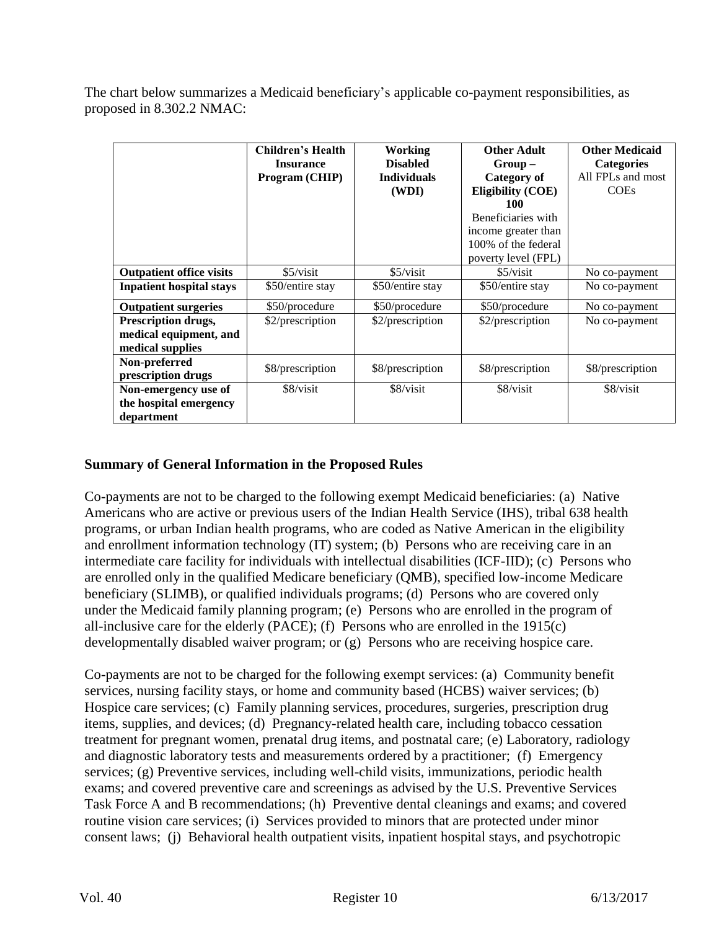The chart below summarizes a Medicaid beneficiary's applicable co-payment responsibilities, as proposed in 8.302.2 NMAC:

|                                                                          | <b>Children's Health</b><br><b>Insurance</b><br>Program (CHIP) | Working<br><b>Disabled</b><br><b>Individuals</b><br>(WDI) | <b>Other Adult</b><br>$Group-$<br><b>Category of</b><br>Eligibility (COE)<br>100<br>Beneficiaries with<br>income greater than<br>100% of the federal<br>poverty level (FPL) | <b>Other Medicaid</b><br><b>Categories</b><br>All FPLs and most<br><b>COEs</b> |
|--------------------------------------------------------------------------|----------------------------------------------------------------|-----------------------------------------------------------|-----------------------------------------------------------------------------------------------------------------------------------------------------------------------------|--------------------------------------------------------------------------------|
| <b>Outpatient office visits</b>                                          | \$5/visit                                                      | \$5/visit                                                 | \$5/visit                                                                                                                                                                   | No co-payment                                                                  |
| <b>Inpatient hospital stays</b>                                          | \$50/entire stay                                               | \$50/entire stay                                          | \$50/entire stay                                                                                                                                                            | No co-payment                                                                  |
| <b>Outpatient surgeries</b>                                              | \$50/procedure                                                 | \$50/procedure                                            | \$50/procedure                                                                                                                                                              | No co-payment                                                                  |
| <b>Prescription drugs,</b><br>medical equipment, and<br>medical supplies | \$2/prescription                                               | \$2/prescription                                          | \$2/prescription                                                                                                                                                            | No co-payment                                                                  |
| Non-preferred<br>prescription drugs                                      | \$8/prescription                                               | \$8/prescription                                          | \$8/prescription                                                                                                                                                            | \$8/prescription                                                               |
| Non-emergency use of<br>the hospital emergency<br>department             | $$8$ /visit                                                    | $$8$ /visit                                               | \$8/visit                                                                                                                                                                   | \$8/visit                                                                      |

# **Summary of General Information in the Proposed Rules**

Co-payments are not to be charged to the following exempt Medicaid beneficiaries: (a) Native Americans who are active or previous users of the Indian Health Service (IHS), tribal 638 health programs, or urban Indian health programs, who are coded as Native American in the eligibility and enrollment information technology (IT) system; (b) Persons who are receiving care in an intermediate care facility for individuals with intellectual disabilities (ICF-IID); (c) Persons who are enrolled only in the qualified Medicare beneficiary (QMB), specified low-income Medicare beneficiary (SLIMB), or qualified individuals programs; (d) Persons who are covered only under the Medicaid family planning program; (e) Persons who are enrolled in the program of all-inclusive care for the elderly (PACE); (f) Persons who are enrolled in the 1915(c) developmentally disabled waiver program; or (g) Persons who are receiving hospice care.

Co-payments are not to be charged for the following exempt services: (a) Community benefit services, nursing facility stays, or home and community based (HCBS) waiver services; (b) Hospice care services; (c) Family planning services, procedures, surgeries, prescription drug items, supplies, and devices; (d) Pregnancy-related health care, including tobacco cessation treatment for pregnant women, prenatal drug items, and postnatal care; (e) Laboratory, radiology and diagnostic laboratory tests and measurements ordered by a practitioner; (f) Emergency services; (g) Preventive services, including well-child visits, immunizations, periodic health exams; and covered preventive care and screenings as advised by the U.S. Preventive Services Task Force A and B recommendations; (h) Preventive dental cleanings and exams; and covered routine vision care services; (i) Services provided to minors that are protected under minor consent laws; (j) Behavioral health outpatient visits, inpatient hospital stays, and psychotropic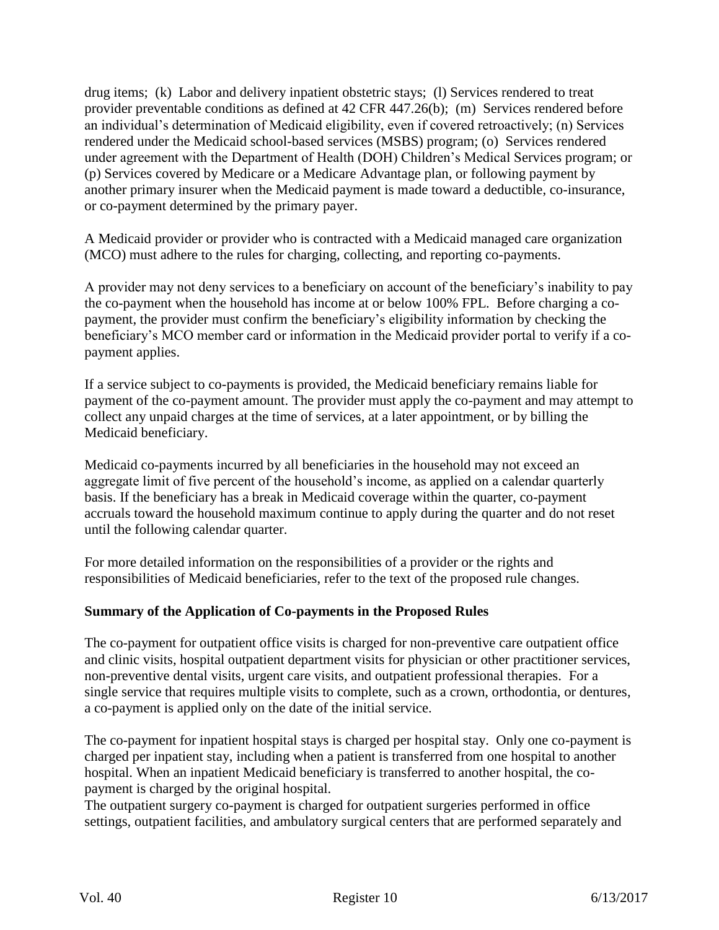drug items; (k) Labor and delivery inpatient obstetric stays; (l) Services rendered to treat provider preventable conditions as defined at 42 CFR 447.26(b); (m) Services rendered before an individual's determination of Medicaid eligibility, even if covered retroactively; (n) Services rendered under the Medicaid school-based services (MSBS) program; (o) Services rendered under agreement with the Department of Health (DOH) Children's Medical Services program; or (p) Services covered by Medicare or a Medicare Advantage plan, or following payment by another primary insurer when the Medicaid payment is made toward a deductible, co-insurance, or co-payment determined by the primary payer.

A Medicaid provider or provider who is contracted with a Medicaid managed care organization (MCO) must adhere to the rules for charging, collecting, and reporting co-payments.

A provider may not deny services to a beneficiary on account of the beneficiary's inability to pay the co-payment when the household has income at or below 100% FPL. Before charging a copayment, the provider must confirm the beneficiary's eligibility information by checking the beneficiary's MCO member card or information in the Medicaid provider portal to verify if a copayment applies.

If a service subject to co-payments is provided, the Medicaid beneficiary remains liable for payment of the co-payment amount. The provider must apply the co-payment and may attempt to collect any unpaid charges at the time of services, at a later appointment, or by billing the Medicaid beneficiary.

Medicaid co-payments incurred by all beneficiaries in the household may not exceed an aggregate limit of five percent of the household's income, as applied on a calendar quarterly basis. If the beneficiary has a break in Medicaid coverage within the quarter, co-payment accruals toward the household maximum continue to apply during the quarter and do not reset until the following calendar quarter.

For more detailed information on the responsibilities of a provider or the rights and responsibilities of Medicaid beneficiaries, refer to the text of the proposed rule changes.

# **Summary of the Application of Co-payments in the Proposed Rules**

The co-payment for outpatient office visits is charged for non-preventive care outpatient office and clinic visits, hospital outpatient department visits for physician or other practitioner services, non-preventive dental visits, urgent care visits, and outpatient professional therapies. For a single service that requires multiple visits to complete, such as a crown, orthodontia, or dentures, a co-payment is applied only on the date of the initial service.

The co-payment for inpatient hospital stays is charged per hospital stay. Only one co-payment is charged per inpatient stay, including when a patient is transferred from one hospital to another hospital. When an inpatient Medicaid beneficiary is transferred to another hospital, the copayment is charged by the original hospital.

The outpatient surgery co-payment is charged for outpatient surgeries performed in office settings, outpatient facilities, and ambulatory surgical centers that are performed separately and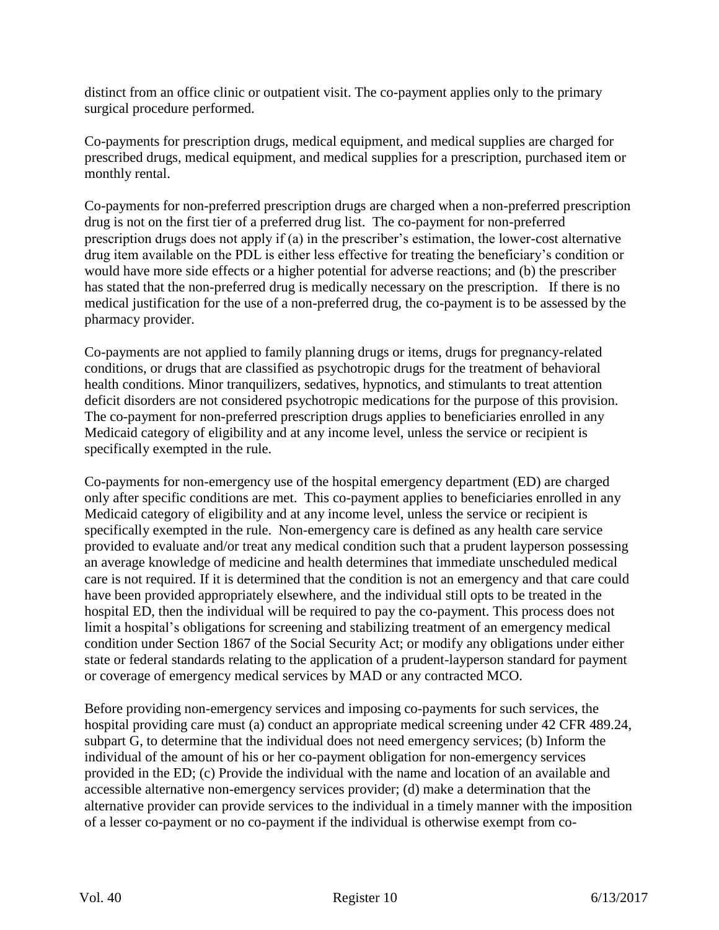distinct from an office clinic or outpatient visit. The co-payment applies only to the primary surgical procedure performed.

Co-payments for prescription drugs, medical equipment, and medical supplies are charged for prescribed drugs, medical equipment, and medical supplies for a prescription, purchased item or monthly rental.

Co-payments for non-preferred prescription drugs are charged when a non-preferred prescription drug is not on the first tier of a preferred drug list. The co-payment for non-preferred prescription drugs does not apply if (a) in the prescriber's estimation, the lower-cost alternative drug item available on the PDL is either less effective for treating the beneficiary's condition or would have more side effects or a higher potential for adverse reactions; and (b) the prescriber has stated that the non-preferred drug is medically necessary on the prescription. If there is no medical justification for the use of a non-preferred drug, the co-payment is to be assessed by the pharmacy provider.

Co-payments are not applied to family planning drugs or items, drugs for pregnancy-related conditions, or drugs that are classified as psychotropic drugs for the treatment of behavioral health conditions. Minor tranquilizers, sedatives, hypnotics, and stimulants to treat attention deficit disorders are not considered psychotropic medications for the purpose of this provision. The co-payment for non-preferred prescription drugs applies to beneficiaries enrolled in any Medicaid category of eligibility and at any income level, unless the service or recipient is specifically exempted in the rule.

Co-payments for non-emergency use of the hospital emergency department (ED) are charged only after specific conditions are met. This co-payment applies to beneficiaries enrolled in any Medicaid category of eligibility and at any income level, unless the service or recipient is specifically exempted in the rule. Non-emergency care is defined as any health care service provided to evaluate and/or treat any medical condition such that a prudent layperson possessing an average knowledge of medicine and health determines that immediate unscheduled medical care is not required. If it is determined that the condition is not an emergency and that care could have been provided appropriately elsewhere, and the individual still opts to be treated in the hospital ED, then the individual will be required to pay the co-payment. This process does not limit a hospital's obligations for screening and stabilizing treatment of an emergency medical condition under Section 1867 of the Social Security Act; or modify any obligations under either state or federal standards relating to the application of a prudent-layperson standard for payment or coverage of emergency medical services by MAD or any contracted MCO.

Before providing non-emergency services and imposing co-payments for such services, the hospital providing care must (a) conduct an appropriate medical screening under 42 CFR 489.24, subpart G, to determine that the individual does not need emergency services; (b) Inform the individual of the amount of his or her co-payment obligation for non-emergency services provided in the ED; (c) Provide the individual with the name and location of an available and accessible alternative non-emergency services provider; (d) make a determination that the alternative provider can provide services to the individual in a timely manner with the imposition of a lesser co-payment or no co-payment if the individual is otherwise exempt from co-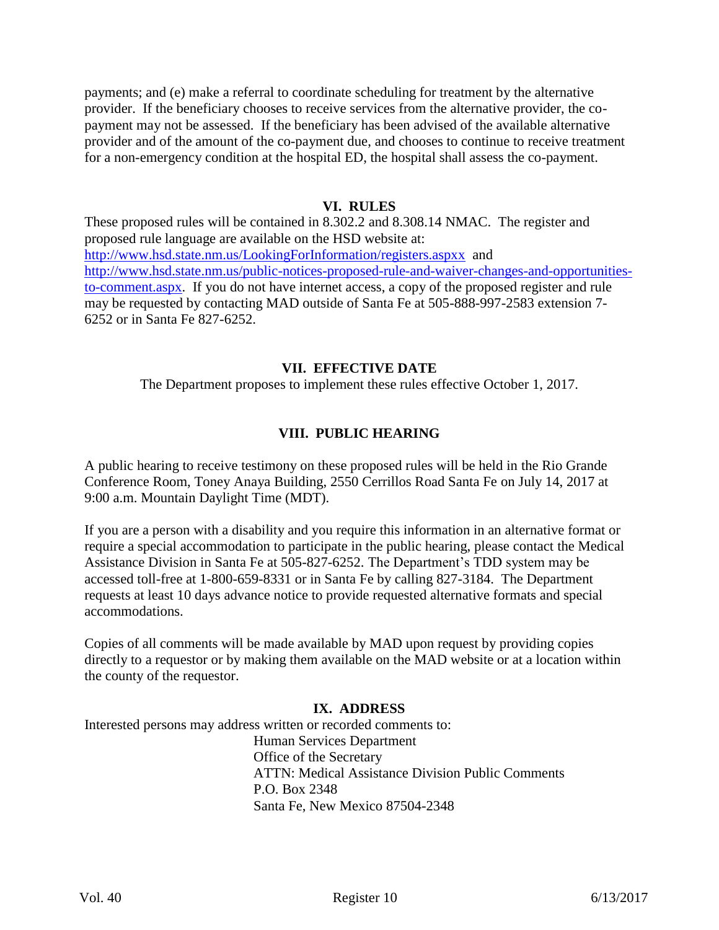payments; and (e) make a referral to coordinate scheduling for treatment by the alternative provider. If the beneficiary chooses to receive services from the alternative provider, the copayment may not be assessed. If the beneficiary has been advised of the available alternative provider and of the amount of the co-payment due, and chooses to continue to receive treatment for a non-emergency condition at the hospital ED, the hospital shall assess the co-payment.

#### **VI. RULES**

These proposed rules will be contained in 8.302.2 and 8.308.14 NMAC. The register and proposed rule language are available on the HSD website at: <http://www.hsd.state.nm.us/LookingForInformation/registers.aspxx> and [http://www.hsd.state.nm.us/public-notices-proposed-rule-and-waiver-changes-and-opportunities](http://www.hsd.state.nm.us/public-notices-proposed-rule-and-waiver-changes-and-opportunities-to-comment.aspx)[to-comment.aspx.](http://www.hsd.state.nm.us/public-notices-proposed-rule-and-waiver-changes-and-opportunities-to-comment.aspx) If you do not have internet access, a copy of the proposed register and rule may be requested by contacting MAD outside of Santa Fe at 505-888-997-2583 extension 7- 6252 or in Santa Fe 827-6252.

#### **VII. EFFECTIVE DATE**

The Department proposes to implement these rules effective October 1, 2017.

#### **VIII. PUBLIC HEARING**

A public hearing to receive testimony on these proposed rules will be held in the Rio Grande Conference Room, Toney Anaya Building, 2550 Cerrillos Road Santa Fe on July 14, 2017 at 9:00 a.m. Mountain Daylight Time (MDT).

If you are a person with a disability and you require this information in an alternative format or require a special accommodation to participate in the public hearing, please contact the Medical Assistance Division in Santa Fe at 505-827-6252. The Department's TDD system may be accessed toll-free at 1-800-659-8331 or in Santa Fe by calling 827-3184. The Department requests at least 10 days advance notice to provide requested alternative formats and special accommodations.

Copies of all comments will be made available by MAD upon request by providing copies directly to a requestor or by making them available on the MAD website or at a location within the county of the requestor.

#### **IX. ADDRESS**

Interested persons may address written or recorded comments to:

Human Services Department Office of the Secretary ATTN: Medical Assistance Division Public Comments P.O. Box 2348 Santa Fe, New Mexico 87504-2348